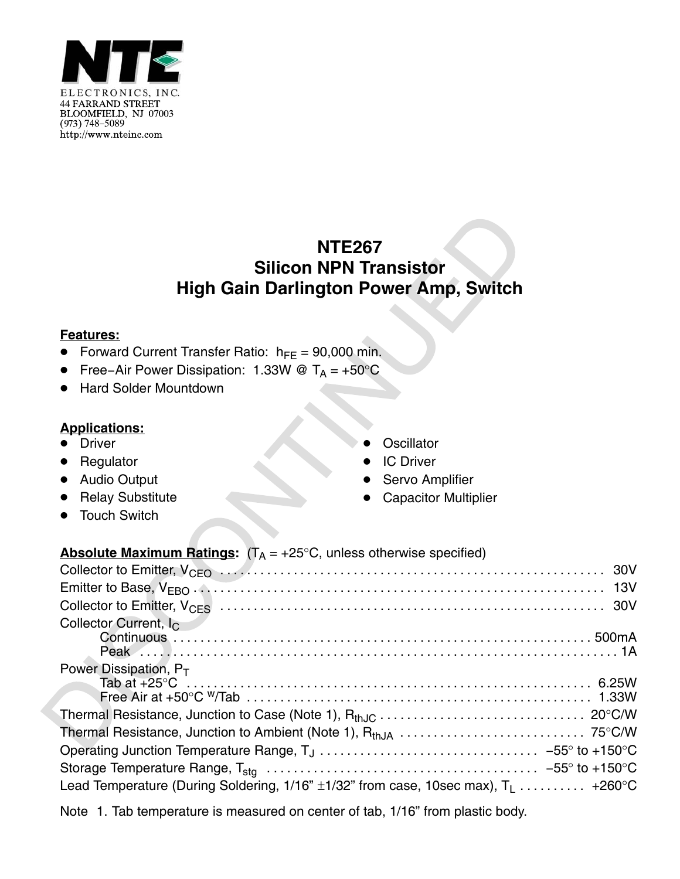

## **NTE267 Silicon NPN Transistor High Gain Darlington Power Amp, Switch**

## **Features:**

- Forward Current Transfer Ratio:  $h_{FE} = 90,000$  min.
- $\bullet$ Free−Air Power Dissipation: 1.33W @ T<sub>A</sub> = +50°C
- $\bullet$ Hard Solder Mountdown

## **Applications:**

- Driver
- **•** Regulator
- $\bullet$  Audio Output
- Relay Substitute
- -Touch Switch
- -**Oscillator**
- -IC Driver
- -Servo Amplifier
- -Capacitor Multiplier

## **Absolute Maximum Ratings:**  $(T_A = +25^{\circ}C,$  unless otherwise specified)

| Collector Current, I <sub>C</sub>                                                         |  |
|-------------------------------------------------------------------------------------------|--|
|                                                                                           |  |
|                                                                                           |  |
| Power Dissipation, $P_T$                                                                  |  |
|                                                                                           |  |
|                                                                                           |  |
|                                                                                           |  |
|                                                                                           |  |
|                                                                                           |  |
|                                                                                           |  |
| Lead Temperature (During Soldering, 1/16" $\pm$ 1/32" from case, 10sec max), $T_1$ +260°C |  |

Note 1. Tab temperature is measured on center of tab, 1/16" from plastic body.